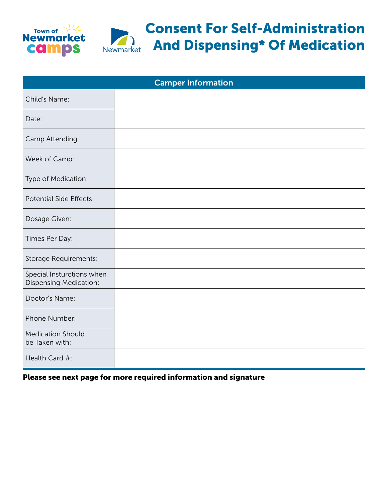



## Consent For Self-Administration And Dispensing\* Of Medication

| <b>Camper Information</b>                                  |  |  |
|------------------------------------------------------------|--|--|
| Child's Name:                                              |  |  |
| Date:                                                      |  |  |
| Camp Attending                                             |  |  |
| Week of Camp:                                              |  |  |
| Type of Medication:                                        |  |  |
| Potential Side Effects:                                    |  |  |
| Dosage Given:                                              |  |  |
| Times Per Day:                                             |  |  |
| Storage Requirements:                                      |  |  |
| Special Insturctions when<br><b>Dispensing Medication:</b> |  |  |
| Doctor's Name:                                             |  |  |
| Phone Number:                                              |  |  |
| <b>Medication Should</b><br>be Taken with:                 |  |  |
| Health Card #:                                             |  |  |

Please see next page for more required information and signature